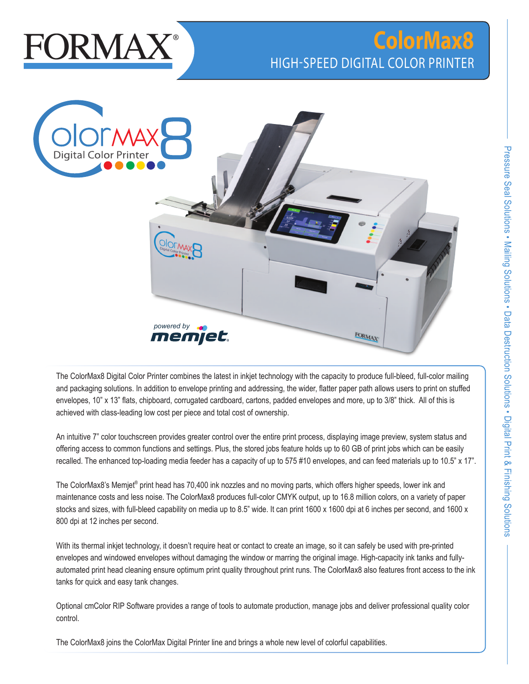

# **ColorMax8** HIGH-SPEED DIGITAL COLOR PRINTER



The ColorMax8 Digital Color Printer combines the latest in inkjet technology with the capacity to produce full-bleed, full-color mailing and packaging solutions. In addition to envelope printing and addressing, the wider, flatter paper path allows users to print on stuffed envelopes, 10" x 13" flats, chipboard, corrugated cardboard, cartons, padded envelopes and more, up to 3/8" thick. All of this is achieved with class-leading low cost per piece and total cost of ownership.

An intuitive 7" color touchscreen provides greater control over the entire print process, displaying image preview, system status and offering access to common functions and settings. Plus, the stored jobs feature holds up to 60 GB of print jobs which can be easily recalled. The enhanced top-loading media feeder has a capacity of up to 575 #10 envelopes, and can feed materials up to 10.5" x 17".

The ColorMax8's Memjet® print head has 70,400 ink nozzles and no moving parts, which offers higher speeds, lower ink and maintenance costs and less noise. The ColorMax8 produces full-color CMYK output, up to 16.8 million colors, on a variety of paper stocks and sizes, with full-bleed capability on media up to 8.5" wide. It can print 1600 x 1600 dpi at 6 inches per second, and 1600 x 800 dpi at 12 inches per second.

With its thermal inkjet technology, it doesn't require heat or contact to create an image, so it can safely be used with pre-printed envelopes and windowed envelopes without damaging the window or marring the original image. High-capacity ink tanks and fullyautomated print head cleaning ensure optimum print quality throughout print runs. The ColorMax8 also features front access to the ink tanks for quick and easy tank changes.

Optional cmColor RIP Software provides a range of tools to automate production, manage jobs and deliver professional quality color control.

The ColorMax8 joins the ColorMax Digital Printer line and brings a whole new level of colorful capabilities.